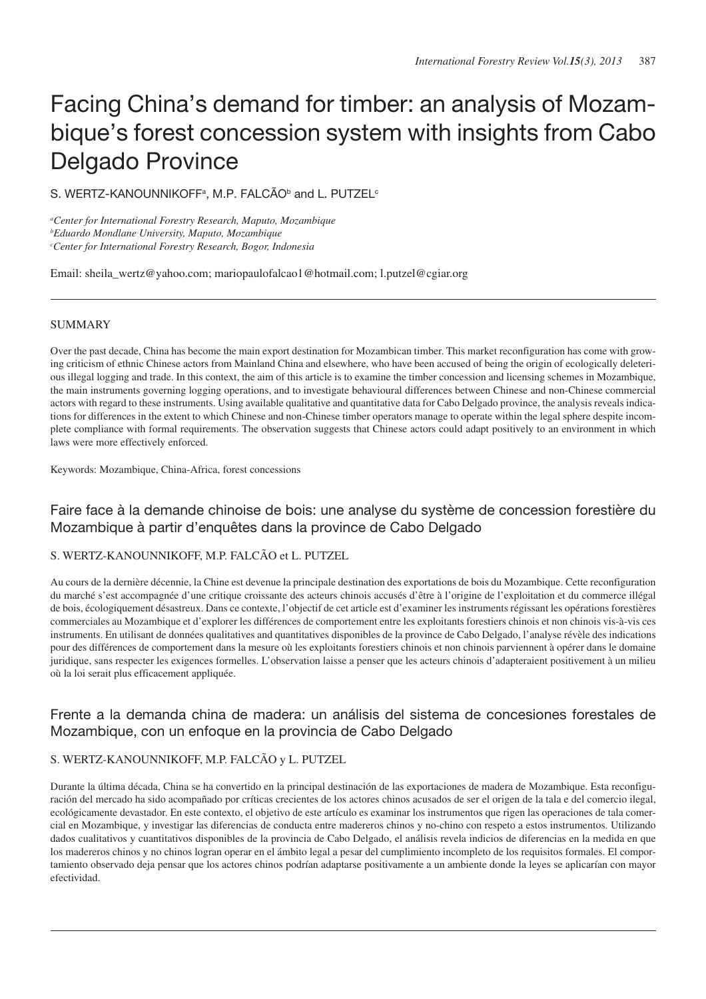# Facing China's demand for timber: an analysis of Mozambique's forest concession system with insights from Cabo **Delgado Province**

S. WERTZ-KANOUNNIKOFF<sup>a</sup>, M.P. FALCAO<sup>b</sup> and L. PUTZEL<sup>c</sup>

<sup>a</sup>Center for International Forestry Research, Maputo, Mozambique <sup>b</sup>Eduardo Mondlane University, Maputo, Mozambique <sup>c</sup>Center for International Forestry Research, Bogor, Indonesia

Email: sheila\_wertz@yahoo.com; mariopaulofalcao1@hotmail.com; l.putzel@cgiar.org

# **SUMMARY**

Over the past decade, China has become the main export destination for Mozambican timber. This market reconfiguration has come with growing criticism of ethnic Chinese actors from Mainland China and elsewhere, who have been accused of being the origin of ecologically deleterious illegal logging and trade. In this context, the aim of this article is to examine the timber concession and licensing schemes in Mozambique, the main instruments governing logging operations, and to investigate behavioural differences between Chinese and non-Chinese commercial actors with regard to these instruments. Using available qualitative and quantitative data for Cabo Delgado province, the analysis reveals indications for differences in the extent to which Chinese and non-Chinese timber operators manage to operate within the legal sphere despite incomplete compliance with formal requirements. The observation suggests that Chinese actors could adapt positively to an environment in which laws were more effectively enforced.

Keywords: Mozambique, China-Africa, forest concessions

# Faire face à la demande chinoise de bois: une analyse du système de concession forestière du Mozambique à partir d'enquêtes dans la province de Cabo Delgado

# S. WERTZ-KANOUNNIKOFF, M.P. FALCÃO et L. PUTZEL

Au cours de la dernière décennie, la Chine est devenue la principale destination des exportations de bois du Mozambique. Cette reconfiguration du marché s'est accompagnée d'une critique croissante des acteurs chinois accusés d'être à l'origine de l'exploitation et du commerce illégal de bois, écologiquement désastreux. Dans ce contexte, l'objectif de cet article est d'examiner les instruments régissant les opérations forestières commerciales au Mozambique et d'explorer les différences de comportement entre les exploitants forestiers chinois et non chinois vis-à-vis ces instruments. En utilisant de données qualitatives and quantitatives disponibles de la province de Cabo Delgado, l'analyse révèle des indications pour des différences de comportement dans la mesure où les exploitants forestiers chinois et non chinois parviennent à opérer dans le domaine juridique, sans respecter les exigences formelles. L'observation laisse a penser que les acteurs chinois d'adapteraient positivement à un milieu où la loi serait plus efficacement appliquée.

# Frente a la demanda china de madera: un análisis del sistema de concesiones forestales de Mozambique, con un enfoque en la provincia de Cabo Delgado

# S. WERTZ-KANOUNNIKOFF, M.P. FALCÃO y L. PUTZEL

Durante la última década, China se ha convertido en la principal destinación de las exportaciones de madera de Mozambique. Esta reconfiguración del mercado ha sido acompañado por críticas crecientes de los actores chinos acusados de ser el origen de la tala e del comercio ilegal, ecológicamente devastador. En este contexto, el objetivo de este artículo es examinar los instrumentos que rigen las operaciones de tala comercial en Mozambique, y investigar las diferencias de conducta entre madereros chinos y no-chino con respeto a estos instrumentos. Utilizando dados cualitativos y cuantitativos disponibles de la provincia de Cabo Delgado, el análisis revela indicios de diferencias en la medida en que los madereros chinos y no chinos logran operar en el ámbito legal a pesar del cumplimiento incompleto de los requisitos formales. El comportamiento observado deja pensar que los actores chinos podrían adaptarse positivamente a un ambiente donde la leyes se aplicarían con mayor hebividad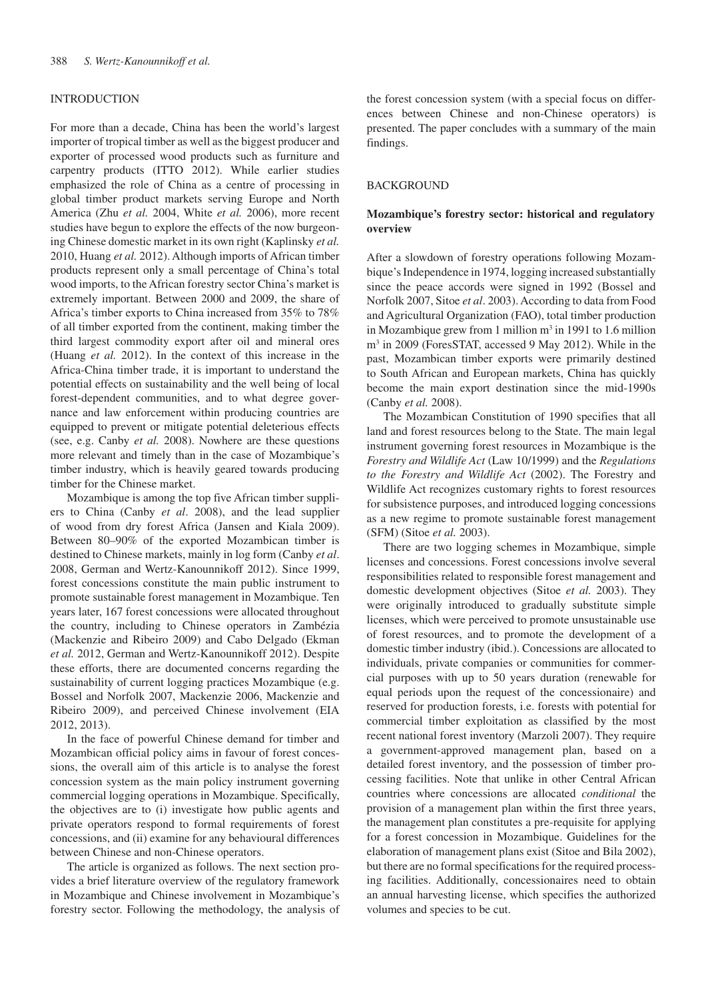## **INTRODUCTION**

For more than a decade, China has been the world's largest importer of tropical timber as well as the biggest producer and exporter of processed wood products such as furniture and carpentry products (ITTO 2012). While earlier studies emphasized the role of China as a centre of processing in global timber product markets serving Europe and North America (Zhu et al. 2004, White et al. 2006), more recent studies have begun to explore the effects of the now burgeoning Chinese domestic market in its own right (Kaplinsky et al. 2010, Huang et al. 2012). Although imports of African timber products represent only a small percentage of China's total wood imports, to the African forestry sector China's market is extremely important. Between 2000 and 2009, the share of Africa's timber exports to China increased from 35% to 78% of all timber exported from the continent, making timber the third largest commodity export after oil and mineral ores (Huang et al. 2012). In the context of this increase in the Africa-China timber trade, it is important to understand the potential effects on sustainability and the well being of local forest-dependent communities, and to what degree governance and law enforcement within producing countries are equipped to prevent or mitigate potential deleterious effects (see, e.g. Canby et al. 2008). Nowhere are these questions more relevant and timely than in the case of Mozambique's timber industry, which is heavily geared towards producing timber for the Chinese market.

Mozambique is among the top five African timber suppliers to China (Canby et al. 2008), and the lead supplier of wood from dry forest Africa (Jansen and Kiala 2009). Between 80-90% of the exported Mozambican timber is destined to Chinese markets, mainly in log form (Canby et al. 2008, German and Wertz-Kanounnikoff 2012). Since 1999, forest concessions constitute the main public instrument to promote sustainable forest management in Mozambique. Ten years later, 167 forest concessions were allocated throughout the country, including to Chinese operators in Zambézia (Mackenzie and Ribeiro 2009) and Cabo Delgado (Ekman et al. 2012, German and Wertz-Kanounnikoff 2012). Despite these efforts, there are documented concerns regarding the sustainability of current logging practices Mozambique (e.g. Bossel and Norfolk 2007, Mackenzie 2006, Mackenzie and Ribeiro 2009), and perceived Chinese involvement (EIA 2012, 2013).

In the face of powerful Chinese demand for timber and Mozambican official policy aims in favour of forest concessions, the overall aim of this article is to analyse the forest concession system as the main policy instrument governing commercial logging operations in Mozambique. Specifically, the objectives are to (i) investigate how public agents and private operators respond to formal requirements of forest concessions, and (ii) examine for any behavioural differences between Chinese and non-Chinese operators.

The article is organized as follows. The next section provides a brief literature overview of the regulatory framework in Mozambique and Chinese involvement in Mozambique's forestry sector. Following the methodology, the analysis of the forest concession system (with a special focus on differences between Chinese and non-Chinese operators) is presented. The paper concludes with a summary of the main findings.

## **BACKGROUND**

# Mozambique's forestry sector: historical and regulatory overview

After a slowdown of forestry operations following Mozambique's Independence in 1974, logging increased substantially since the peace accords were signed in 1992 (Bossel and Norfolk 2007, Sitoe et al. 2003). According to data from Food and Agricultural Organization (FAO), total timber production in Mozambique grew from 1 million  $m<sup>3</sup>$  in 1991 to 1.6 million m<sup>3</sup> in 2009 (ForesSTAT, accessed 9 May 2012). While in the past, Mozambican timber exports were primarily destined to South African and European markets, China has quickly become the main export destination since the mid-1990s (Canby et al. 2008).

The Mozambican Constitution of 1990 specifies that all land and forest resources belong to the State. The main legal instrument governing forest resources in Mozambique is the Forestry and Wildlife Act (Law 10/1999) and the Regulations to the Forestry and Wildlife Act (2002). The Forestry and Wildlife Act recognizes customary rights to forest resources for subsistence purposes, and introduced logging concessions as a new regime to promote sustainable forest management (SFM) (Sitoe et al. 2003).

There are two logging schemes in Mozambique, simple licenses and concessions. Forest concessions involve several responsibilities related to responsible forest management and domestic development objectives (Sitoe et al. 2003). They were originally introduced to gradually substitute simple licenses, which were perceived to promote unsustainable use of forest resources, and to promote the development of a domestic timber industry (ibid.). Concessions are allocated to individuals, private companies or communities for commercial purposes with up to 50 years duration (renewable for equal periods upon the request of the concessionaire) and reserved for production forests, i.e. forests with potential for commercial timber exploitation as classified by the most recent national forest inventory (Marzoli 2007). They require a government-approved management plan, based on a detailed forest inventory, and the possession of timber processing facilities. Note that unlike in other Central African countries where concessions are allocated *conditional* the provision of a management plan within the first three years, the management plan constitutes a pre-requisite for applying for a forest concession in Mozambique. Guidelines for the elaboration of management plans exist (Sitoe and Bila 2002), but there are no formal specifications for the required processing facilities. Additionally, concessionaires need to obtain an annual harvesting license, which specifies the authorized volumes and species to be cut.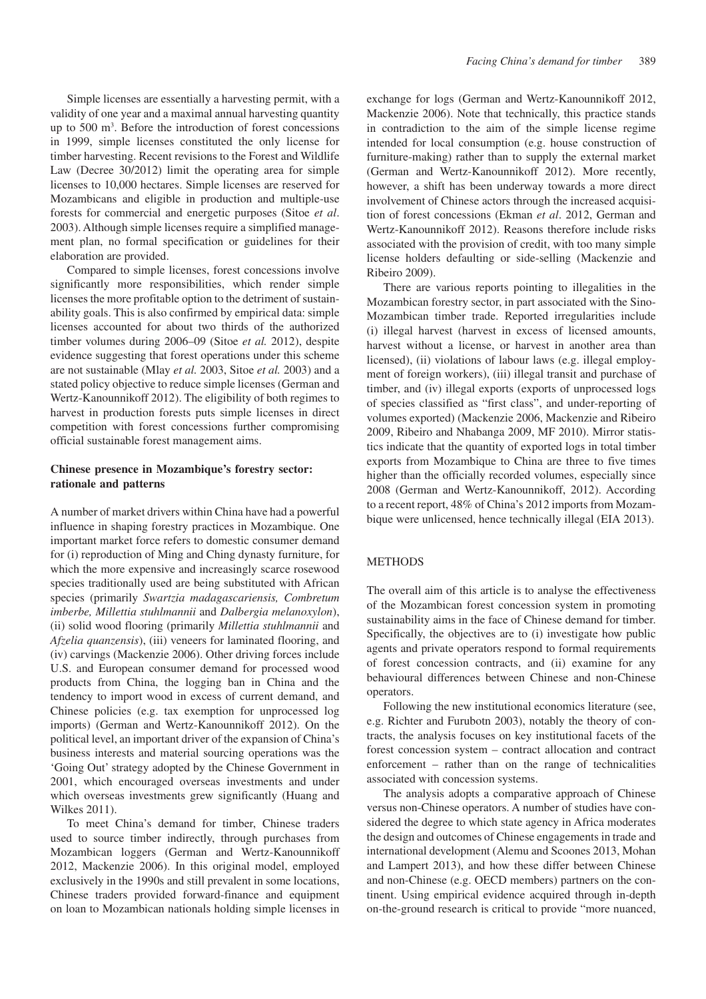Simple licenses are essentially a harvesting permit, with a validity of one year and a maximal annual harvesting quantity up to 500  $\mathrm{m}^3$ . Before the introduction of forest concessions in 1999, simple licenses constituted the only license for timber harvesting. Recent revisions to the Forest and Wildlife Law (Decree 30/2012) limit the operating area for simple licenses to 10,000 hectares. Simple licenses are reserved for Mozambicans and eligible in production and multiple-use forests for commercial and energetic purposes (Sitoe et al. 2003). Although simple licenses require a simplified management plan, no formal specification or guidelines for their elaboration are provided.

Compared to simple licenses, forest concessions involve significantly more responsibilities, which render simple licenses the more profitable option to the detriment of sustainability goals. This is also confirmed by empirical data: simple licenses accounted for about two thirds of the authorized timber volumes during 2006–09 (Sitoe et al. 2012), despite evidence suggesting that forest operations under this scheme are not sustainable (Mlay et al. 2003, Sitoe et al. 2003) and a stated policy objective to reduce simple licenses (German and Wertz-Kanounnikoff 2012). The eligibility of both regimes to harvest in production forests puts simple licenses in direct competition with forest concessions further compromising official sustainable forest management aims.

# Chinese presence in Mozambique's forestry sector: rationale and patterns

A number of market drivers within China have had a powerful influence in shaping forestry practices in Mozambique. One important market force refers to domestic consumer demand for (i) reproduction of Ming and Ching dynasty furniture, for which the more expensive and increasingly scarce rosewood species traditionally used are being substituted with African species (primarily Swartzia madagascariensis, Combretum imberbe, Millettia stuhlmannii and Dalbergia melanoxylon), (ii) solid wood flooring (primarily Millettia stuhlmannii and Afzelia quanzensis), (iii) veneers for laminated flooring, and (iv) carvings (Mackenzie 2006). Other driving forces include U.S. and European consumer demand for processed wood products from China, the logging ban in China and the tendency to import wood in excess of current demand, and Chinese policies (e.g. tax exemption for unprocessed log imports) (German and Wertz-Kanounnikoff 2012). On the political level, an important driver of the expansion of China's business interests and material sourcing operations was the 'Going Out' strategy adopted by the Chinese Government in 2001, which encouraged overseas investments and under which overseas investments grew significantly (Huang and Wilkes 2011).

To meet China's demand for timber, Chinese traders used to source timber indirectly, through purchases from Mozambican loggers (German and Wertz-Kanounnikoff 2012, Mackenzie 2006). In this original model, employed exclusively in the 1990s and still prevalent in some locations, Chinese traders provided forward-finance and equipment on loan to Mozambican nationals holding simple licenses in

exchange for logs (German and Wertz-Kanounnikoff 2012, Mackenzie 2006). Note that technically, this practice stands in contradiction to the aim of the simple license regime intended for local consumption (e.g. house construction of furniture-making) rather than to supply the external market (German and Wertz-Kanounnikoff 2012). More recently, however, a shift has been underway towards a more direct involvement of Chinese actors through the increased acquisition of forest concessions (Ekman et al. 2012, German and Wertz-Kanounnikoff 2012). Reasons therefore include risks associated with the provision of credit, with too many simple license holders defaulting or side-selling (Mackenzie and Ribeiro 2009).

There are various reports pointing to illegalities in the Mozambican forestry sector, in part associated with the Sino-Mozambican timber trade. Reported irregularities include (i) illegal harvest (harvest in excess of licensed amounts, harvest without a license, or harvest in another area than licensed), (ii) violations of labour laws (e.g. illegal employment of foreign workers), (iii) illegal transit and purchase of timber, and (iv) illegal exports (exports of unprocessed logs of species classified as "first class", and under-reporting of volumes exported) (Mackenzie 2006, Mackenzie and Ribeiro 2009, Ribeiro and Nhabanga 2009, MF 2010). Mirror statistics indicate that the quantity of exported logs in total timber exports from Mozambique to China are three to five times higher than the officially recorded volumes, especially since 2008 (German and Wertz-Kanounnikoff, 2012). According to a recent report, 48% of China's 2012 imports from Mozambique were unlicensed, hence technically illegal (EIA 2013).

# **METHODS**

The overall aim of this article is to analyse the effectiveness of the Mozambican forest concession system in promoting sustainability aims in the face of Chinese demand for timber. Specifically, the objectives are to (i) investigate how public agents and private operators respond to formal requirements of forest concession contracts, and (ii) examine for any behavioural differences between Chinese and non-Chinese operators.

Following the new institutional economics literature (see, e.g. Richter and Furubotn 2003), notably the theory of contracts, the analysis focuses on key institutional facets of the forest concession system - contract allocation and contract enforcement – rather than on the range of technicalities associated with concession systems.

The analysis adopts a comparative approach of Chinese versus non-Chinese operators. A number of studies have considered the degree to which state agency in Africa moderates the design and outcomes of Chinese engagements in trade and international development (Alemu and Scoones 2013, Mohan and Lampert 2013), and how these differ between Chinese and non-Chinese (e.g. OECD members) partners on the continent. Using empirical evidence acquired through in-depth on-the-ground research is critical to provide "more nuanced,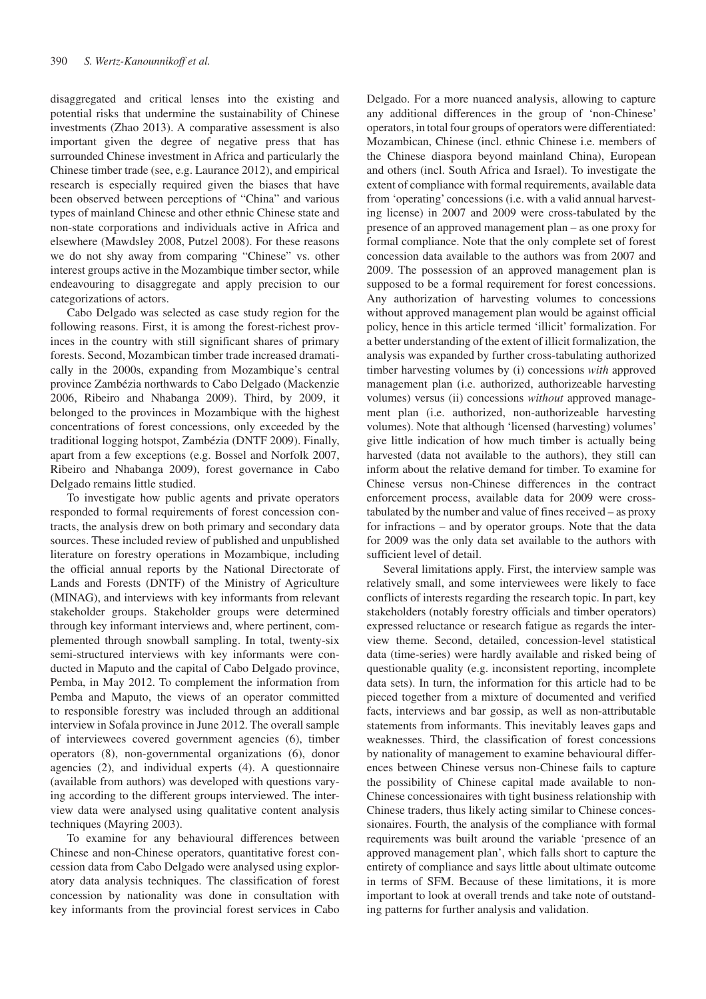disaggregated and critical lenses into the existing and potential risks that undermine the sustainability of Chinese investments (Zhao 2013). A comparative assessment is also important given the degree of negative press that has surrounded Chinese investment in Africa and particularly the Chinese timber trade (see, e.g. Laurance 2012), and empirical research is especially required given the biases that have been observed between perceptions of "China" and various types of mainland Chinese and other ethnic Chinese state and non-state corporations and individuals active in Africa and elsewhere (Mawdsley 2008, Putzel 2008). For these reasons we do not shy away from comparing "Chinese" vs. other interest groups active in the Mozambique timber sector, while endeavouring to disaggregate and apply precision to our categorizations of actors.

Cabo Delgado was selected as case study region for the following reasons. First, it is among the forest-richest provinces in the country with still significant shares of primary forests. Second, Mozambican timber trade increased dramatically in the 2000s, expanding from Mozambique's central province Zambézia northwards to Cabo Delgado (Mackenzie 2006, Ribeiro and Nhabanga 2009). Third, by 2009, it belonged to the provinces in Mozambique with the highest concentrations of forest concessions, only exceeded by the traditional logging hotspot, Zambézia (DNTF 2009). Finally, apart from a few exceptions (e.g. Bossel and Norfolk 2007, Ribeiro and Nhabanga 2009), forest governance in Cabo Delgado remains little studied.

To investigate how public agents and private operators responded to formal requirements of forest concession contracts, the analysis drew on both primary and secondary data sources. These included review of published and unpublished literature on forestry operations in Mozambique, including the official annual reports by the National Directorate of Lands and Forests (DNTF) of the Ministry of Agriculture (MINAG), and interviews with key informants from relevant stakeholder groups. Stakeholder groups were determined through key informant interviews and, where pertinent, complemented through snowball sampling. In total, twenty-six semi-structured interviews with key informants were conducted in Maputo and the capital of Cabo Delgado province, Pemba, in May 2012. To complement the information from Pemba and Maputo, the views of an operator committed to responsible forestry was included through an additional interview in Sofala province in June 2012. The overall sample of interviewees covered government agencies (6), timber operators (8), non-governmental organizations (6), donor agencies (2), and individual experts (4). A questionnaire (available from authors) was developed with questions varying according to the different groups interviewed. The interview data were analysed using qualitative content analysis techniques (Mayring 2003).

To examine for any behavioural differences between Chinese and non-Chinese operators, quantitative forest concession data from Cabo Delgado were analysed using exploratory data analysis techniques. The classification of forest concession by nationality was done in consultation with key informants from the provincial forest services in Cabo

Delgado. For a more nuanced analysis, allowing to capture any additional differences in the group of 'non-Chinese' operators, in total four groups of operators were differentiated: Mozambican, Chinese (incl. ethnic Chinese i.e. members of the Chinese diaspora beyond mainland China), European and others (incl. South Africa and Israel). To investigate the extent of compliance with formal requirements, available data from 'operating' concessions (i.e. with a valid annual harvesting license) in 2007 and 2009 were cross-tabulated by the presence of an approved management plan – as one proxy for formal compliance. Note that the only complete set of forest concession data available to the authors was from 2007 and 2009. The possession of an approved management plan is supposed to be a formal requirement for forest concessions. Any authorization of harvesting volumes to concessions without approved management plan would be against official policy, hence in this article termed 'illicit' formalization. For a better understanding of the extent of illicit formalization, the analysis was expanded by further cross-tabulating authorized timber harvesting volumes by (i) concessions with approved management plan (i.e. authorized, authorizeable harvesting volumes) versus (ii) concessions without approved management plan (i.e. authorized, non-authorizeable harvesting volumes). Note that although 'licensed (harvesting) volumes' give little indication of how much timber is actually being harvested (data not available to the authors), they still can inform about the relative demand for timber. To examine for Chinese versus non-Chinese differences in the contract enforcement process, available data for 2009 were crosstabulated by the number and value of fines received - as proxy for infractions – and by operator groups. Note that the data for 2009 was the only data set available to the authors with sufficient level of detail.

Several limitations apply. First, the interview sample was relatively small, and some interviewees were likely to face conflicts of interests regarding the research topic. In part, key stakeholders (notably forestry officials and timber operators) expressed reluctance or research fatigue as regards the interview theme. Second, detailed, concession-level statistical data (time-series) were hardly available and risked being of questionable quality (e.g. inconsistent reporting, incomplete data sets). In turn, the information for this article had to be pieced together from a mixture of documented and verified facts, interviews and bar gossip, as well as non-attributable statements from informants. This inevitably leaves gaps and weaknesses. Third, the classification of forest concessions by nationality of management to examine behavioural differences between Chinese versus non-Chinese fails to capture the possibility of Chinese capital made available to non-Chinese concessionaires with tight business relationship with Chinese traders, thus likely acting similar to Chinese concessionaires. Fourth, the analysis of the compliance with formal requirements was built around the variable 'presence of an approved management plan', which falls short to capture the entirety of compliance and says little about ultimate outcome in terms of SFM. Because of these limitations, it is more important to look at overall trends and take note of outstanding patterns for further analysis and validation.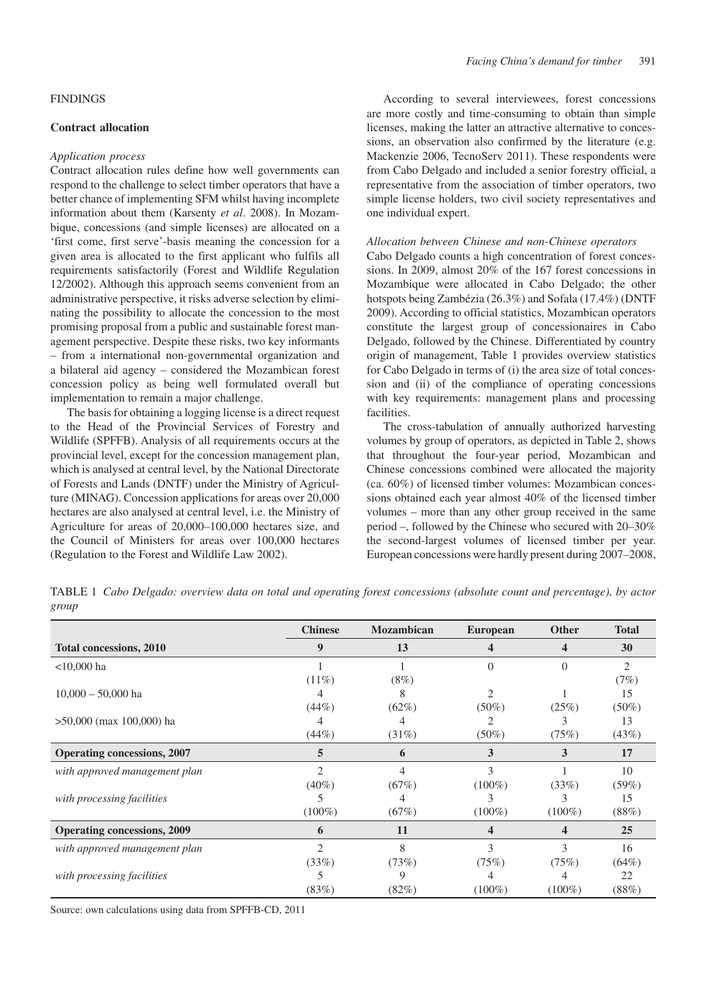#### **FINDINGS**

#### **Contract allocation**

#### Application process

Contract allocation rules define how well governments can respond to the challenge to select timber operators that have a better chance of implementing SFM whilst having incomplete information about them (Karsenty et al. 2008). In Mozambique, concessions (and simple licenses) are allocated on a 'first come, first serve'-basis meaning the concession for a given area is allocated to the first applicant who fulfils all requirements satisfactorily (Forest and Wildlife Regulation 12/2002). Although this approach seems convenient from an administrative perspective, it risks adverse selection by eliminating the possibility to allocate the concession to the most promising proposal from a public and sustainable forest management perspective. Despite these risks, two key informants - from a international non-governmental organization and a bilateral aid agency – considered the Mozambican forest concession policy as being well formulated overall but implementation to remain a major challenge.

The basis for obtaining a logging license is a direct request to the Head of the Provincial Services of Forestry and Wildlife (SPFFB). Analysis of all requirements occurs at the provincial level, except for the concession management plan, which is analysed at central level, by the National Directorate of Forests and Lands (DNTF) under the Ministry of Agriculture (MINAG). Concession applications for areas over 20,000 hectares are also analysed at central level, i.e. the Ministry of Agriculture for areas of 20,000–100,000 hectares size, and the Council of Ministers for areas over 100,000 hectares (Regulation to the Forest and Wildlife Law 2002).

According to several interviewees, forest concessions are more costly and time-consuming to obtain than simple licenses, making the latter an attractive alternative to concessions, an observation also confirmed by the literature (e.g. Mackenzie 2006, TecnoServ 2011). These respondents were from Cabo Delgado and included a senior forestry official, a representative from the association of timber operators, two simple license holders, two civil society representatives and one individual expert.

## Allocation between Chinese and non-Chinese operators

Cabo Delgado counts a high concentration of forest concessions. In 2009, almost 20% of the 167 forest concessions in Mozambique were allocated in Cabo Delgado; the other hotspots being Zambézia (26.3%) and Sofala (17.4%) (DNTF 2009). According to official statistics, Mozambican operators constitute the largest group of concessionaires in Cabo Delgado, followed by the Chinese. Differentiated by country origin of management, Table 1 provides overview statistics for Cabo Delgado in terms of (i) the area size of total concession and (ii) of the compliance of operating concessions with key requirements: management plans and processing facilities.

The cross-tabulation of annually authorized harvesting volumes by group of operators, as depicted in Table 2, shows that throughout the four-year period, Mozambican and Chinese concessions combined were allocated the majority (ca. 60%) of licensed timber volumes: Mozambican concessions obtained each year almost 40% of the licensed timber volumes – more than any other group received in the same period -, followed by the Chinese who secured with 20-30% the second-largest volumes of licensed timber per year. European concessions were hardly present during 2007-2008,

TABLE 1 Cabo Delgado: overview data on total and operating forest concessions (absolute count and percentage), by actor group

|                                    | <b>Chinese</b>                | <b>Mozambican</b> | <b>European</b> | <b>Other</b> | <b>Total</b> |
|------------------------------------|-------------------------------|-------------------|-----------------|--------------|--------------|
| <b>Total concessions, 2010</b>     | 9                             | 13                | 4               | 4            | 30           |
| $<$ 10,000 ha                      |                               |                   | $\theta$        | $\theta$     | 2            |
|                                    | $(11\%)$                      | $(8\%)$           |                 |              | (7%)         |
| $10,000 - 50,000$ ha               |                               | 8                 | $\mathfrak{D}$  |              | 15           |
|                                    | (44%)                         | (62%)             | $(50\%)$        | (25%)        | $(50\%)$     |
| $>50,000$ (max 100,000) ha         |                               | 4                 | 2               | 3            | 13           |
|                                    | (44%)                         | $(31\%)$          | $(50\%)$        | (75%)        | (43%)        |
| <b>Operating concessions, 2007</b> | 5                             | 6                 | 3               | 3            | 17           |
| with approved management plan      | $\mathfrak{D}_{\mathfrak{p}}$ | 4                 | 3               |              | 10           |
|                                    | $(40\%)$                      | (67%)             | $(100\%)$       | (33%)        | $(59\%)$     |
| with processing facilities         |                               | 4                 | 3               | 3            | 15           |
|                                    | $(100\%)$                     | (67%)             | $(100\%)$       | $(100\%)$    | (88%)        |
| <b>Operating concessions, 2009</b> | 6                             | 11                | 4               | 4            | 25           |
| with approved management plan      | $\overline{2}$                | 8                 | 3               | 3            | 16           |
|                                    | (33%)                         | (73%)             | (75%)           | (75%)        | (64%)        |
| with processing facilities         |                               | 9                 | 4               | 4            | 22           |
|                                    | (83%)                         | (82%)             | $(100\%)$       | $(100\%)$    | (88%)        |

Source: own calculations using data from SPFFB-CD, 2011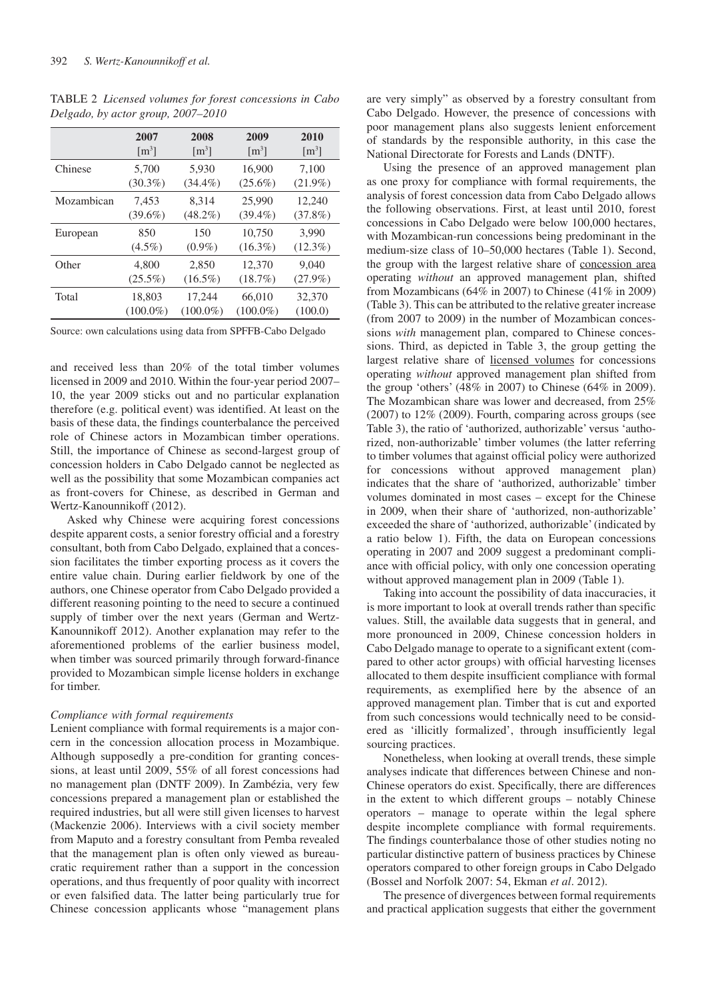|            | 2007                | 2008                | 2009                | 2010                |
|------------|---------------------|---------------------|---------------------|---------------------|
|            | $\lceil m^3 \rceil$ | $\lceil m^3 \rceil$ | $\lceil m^3 \rceil$ | $\lceil m^3 \rceil$ |
| Chinese    | 5,700               | 5,930               | 16,900              | 7.100               |
|            | $(30.3\%)$          | $(34.4\%)$          | $(25.6\%)$          | $(21.9\%)$          |
| Mozambican | 7,453               | 8,314               | 25,990              | 12,240              |
|            | $(39.6\%)$          | $(48.2\%)$          | $(39.4\%)$          | $(37.8\%)$          |
| European   | 850                 | 150                 | 10,750              | 3,990               |
|            | $(4.5\%)$           | $(0.9\%)$           | $(16.3\%)$          | $(12.3\%)$          |
| Other      | 4.800               | 2.850               | 12,370              | 9.040               |
|            | $(25.5\%)$          | $(16.5\%)$          | (18.7%)             | $(27.9\%)$          |
| Total      | 18,803              | 17,244              | 66,010              | 32,370              |
|            | $(100.0\%)$         | $(100.0\%)$         | $(100.0\%)$         | (100.0)             |

TABLE 2 Licensed volumes for forest concessions in Cabo Delgado, by actor group, 2007-2010

Source: own calculations using data from SPFFB-Cabo Delgado

and received less than 20% of the total timber volumes licensed in 2009 and 2010. Within the four-year period 2007– 10, the year 2009 sticks out and no particular explanation therefore (e.g. political event) was identified. At least on the basis of these data, the findings counterbalance the perceived role of Chinese actors in Mozambican timber operations. Still, the importance of Chinese as second-largest group of concession holders in Cabo Delgado cannot be neglected as well as the possibility that some Mozambican companies act as front-covers for Chinese, as described in German and Wertz-Kanounnikoff (2012).

Asked why Chinese were acquiring forest concessions despite apparent costs, a senior forestry official and a forestry consultant, both from Cabo Delgado, explained that a concession facilitates the timber exporting process as it covers the entire value chain. During earlier fieldwork by one of the authors, one Chinese operator from Cabo Delgado provided a different reasoning pointing to the need to secure a continued supply of timber over the next years (German and Wertz-Kanounnikoff 2012). Another explanation may refer to the aforementioned problems of the earlier business model, when timber was sourced primarily through forward-finance provided to Mozambican simple license holders in exchange for timber.

#### Compliance with formal requirements

Lenient compliance with formal requirements is a major concern in the concession allocation process in Mozambique. Although supposedly a pre-condition for granting concessions, at least until 2009, 55% of all forest concessions had no management plan (DNTF 2009). In Zambézia, very few concessions prepared a management plan or established the required industries, but all were still given licenses to harvest (Mackenzie 2006). Interviews with a civil society member from Maputo and a forestry consultant from Pemba revealed that the management plan is often only viewed as bureaucratic requirement rather than a support in the concession operations, and thus frequently of poor quality with incorrect or even falsified data. The latter being particularly true for Chinese concession applicants whose "management plans are very simply" as observed by a forestry consultant from Cabo Delgado. However, the presence of concessions with poor management plans also suggests lenient enforcement of standards by the responsible authority, in this case the National Directorate for Forests and Lands (DNTF).

Using the presence of an approved management plan as one proxy for compliance with formal requirements, the analysis of forest concession data from Cabo Delgado allows the following observations. First, at least until 2010, forest concessions in Cabo Delgado were below 100,000 hectares, with Mozambican-run concessions being predominant in the medium-size class of 10–50,000 hectares (Table 1). Second, the group with the largest relative share of concession area operating without an approved management plan, shifted from Mozambicans (64% in 2007) to Chinese (41% in 2009) (Table 3). This can be attributed to the relative greater increase (from 2007 to 2009) in the number of Mozambican concessions with management plan, compared to Chinese concessions. Third, as depicted in Table 3, the group getting the largest relative share of licensed volumes for concessions operating without approved management plan shifted from the group 'others' (48% in 2007) to Chinese (64% in 2009). The Mozambican share was lower and decreased, from 25%  $(2007)$  to  $12\%$   $(2009)$ . Fourth, comparing across groups (see Table 3), the ratio of 'authorized, authorizable' versus 'authorized, non-authorizable' timber volumes (the latter referring to timber volumes that against official policy were authorized for concessions without approved management plan) indicates that the share of 'authorized, authorizable' timber volumes dominated in most cases - except for the Chinese in 2009, when their share of 'authorized, non-authorizable' exceeded the share of 'authorized, authorizable' (indicated by a ratio below 1). Fifth, the data on European concessions operating in 2007 and 2009 suggest a predominant compliance with official policy, with only one concession operating without approved management plan in 2009 (Table 1).

Taking into account the possibility of data inaccuracies, it is more important to look at overall trends rather than specific values. Still, the available data suggests that in general, and more pronounced in 2009, Chinese concession holders in Cabo Delgado manage to operate to a significant extent (compared to other actor groups) with official harvesting licenses allocated to them despite insufficient compliance with formal requirements, as exemplified here by the absence of an approved management plan. Timber that is cut and exported from such concessions would technically need to be considered as 'illicitly formalized', through insufficiently legal sourcing practices.

Nonetheless, when looking at overall trends, these simple analyses indicate that differences between Chinese and non-Chinese operators do exist. Specifically, there are differences in the extent to which different groups – notably Chinese operators - manage to operate within the legal sphere despite incomplete compliance with formal requirements. The findings counterbalance those of other studies noting no particular distinctive pattern of business practices by Chinese operators compared to other foreign groups in Cabo Delgado (Bossel and Norfolk 2007: 54, Ekman et al. 2012).

The presence of divergences between formal requirements and practical application suggests that either the government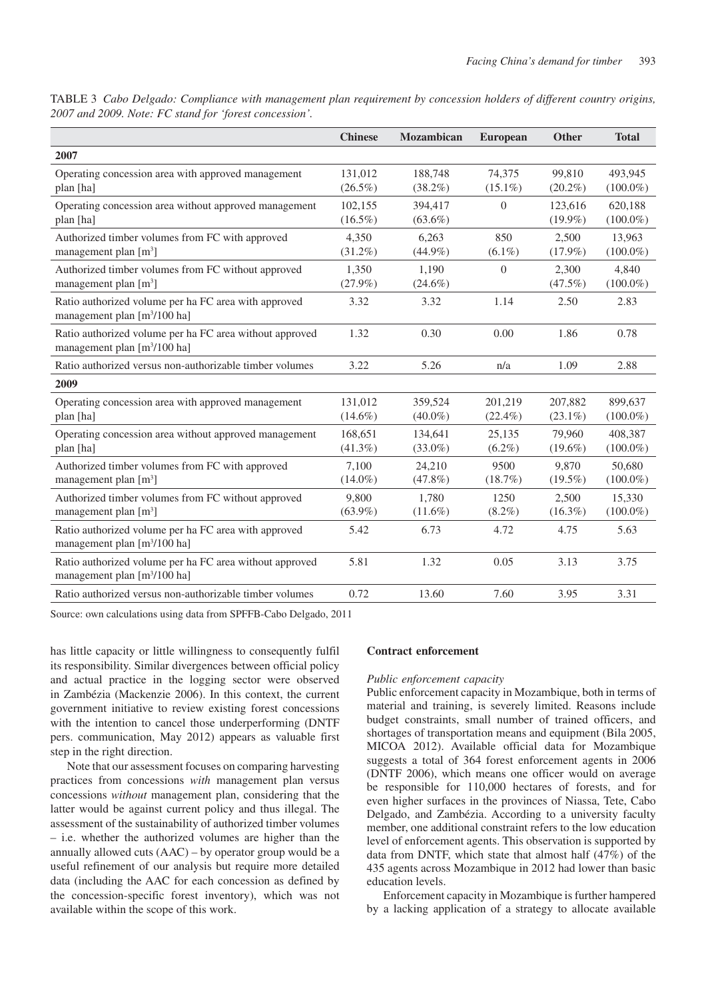|                                                                                                     | <b>Chinese</b>        | <b>Mozambican</b>     | <b>European</b>       | <b>Other</b>          | <b>Total</b>           |
|-----------------------------------------------------------------------------------------------------|-----------------------|-----------------------|-----------------------|-----------------------|------------------------|
| 2007                                                                                                |                       |                       |                       |                       |                        |
| Operating concession area with approved management<br>plan [ha]                                     | 131,012<br>$(26.5\%)$ | 188,748<br>$(38.2\%)$ | 74,375<br>$(15.1\%)$  | 99,810<br>$(20.2\%)$  | 493,945<br>$(100.0\%)$ |
| Operating concession area without approved management<br>plan [ha]                                  | 102,155<br>$(16.5\%)$ | 394,417<br>$(63.6\%)$ | $\theta$              | 123,616<br>$(19.9\%)$ | 620,188<br>$(100.0\%)$ |
| Authorized timber volumes from FC with approved<br>management plan [m <sup>3</sup> ]                | 4.350<br>$(31.2\%)$   | 6,263<br>$(44.9\%)$   | 850<br>$(6.1\%)$      | 2,500<br>$(17.9\%)$   | 13,963<br>$(100.0\%)$  |
| Authorized timber volumes from FC without approved<br>management plan [m <sup>3</sup> ]             | 1,350<br>$(27.9\%)$   | 1,190<br>$(24.6\%)$   | $\overline{0}$        | 2,300<br>$(47.5\%)$   | 4,840<br>$(100.0\%)$   |
| Ratio authorized volume per ha FC area with approved<br>management plan [m <sup>3</sup> /100 ha]    | 3.32                  | 3.32                  | 1.14                  | 2.50                  | 2.83                   |
| Ratio authorized volume per ha FC area without approved<br>management plan [m <sup>3</sup> /100 ha] | 1.32                  | 0.30                  | 0.00                  | 1.86                  | 0.78                   |
| Ratio authorized versus non-authorizable timber volumes                                             | 3.22                  | 5.26                  | n/a                   | 1.09                  | 2.88                   |
| 2009                                                                                                |                       |                       |                       |                       |                        |
| Operating concession area with approved management<br>plan [ha]                                     | 131,012<br>$(14.6\%)$ | 359,524<br>$(40.0\%)$ | 201,219<br>$(22.4\%)$ | 207,882<br>$(23.1\%)$ | 899,637<br>$(100.0\%)$ |
| Operating concession area without approved management<br>plan [ha]                                  | 168,651<br>$(41.3\%)$ | 134,641<br>$(33.0\%)$ | 25,135<br>$(6.2\%)$   | 79,960<br>$(19.6\%)$  | 408,387<br>$(100.0\%)$ |
| Authorized timber volumes from FC with approved<br>management plan [m <sup>3</sup> ]                | 7,100<br>$(14.0\%)$   | 24,210<br>$(47.8\%)$  | 9500<br>(18.7%)       | 9,870<br>$(19.5\%)$   | 50,680<br>$(100.0\%)$  |
| Authorized timber volumes from FC without approved<br>management plan [m <sup>3</sup> ]             | 9,800<br>$(63.9\%)$   | 1,780<br>$(11.6\%)$   | 1250<br>$(8.2\%)$     | 2,500<br>$(16.3\%)$   | 15,330<br>$(100.0\%)$  |
| Ratio authorized volume per ha FC area with approved<br>management plan [m <sup>3</sup> /100 ha]    | 5.42                  | 6.73                  | 4.72                  | 4.75                  | 5.63                   |
| Ratio authorized volume per ha FC area without approved<br>management plan $[m3/100$ ha]            | 5.81                  | 1.32                  | 0.05                  | 3.13                  | 3.75                   |
| Ratio authorized versus non-authorizable timber volumes                                             | 0.72                  | 13.60                 | 7.60                  | 3.95                  | 3.31                   |

TABLE 3 Cabo Delgado: Compliance with management plan requirement by concession holders of different country origins, 2007 and 2009. Note: FC stand for 'forest concession'.

Source: own calculations using data from SPFFB-Cabo Delgado, 2011

has little capacity or little willingness to consequently fulfil its responsibility. Similar divergences between official policy and actual practice in the logging sector were observed in Zambézia (Mackenzie 2006). In this context, the current government initiative to review existing forest concessions with the intention to cancel those underperforming (DNTF pers. communication, May 2012) appears as valuable first step in the right direction.

Note that our assessment focuses on comparing harvesting practices from concessions with management plan versus concessions without management plan, considering that the latter would be against current policy and thus illegal. The assessment of the sustainability of authorized timber volumes - i.e. whether the authorized volumes are higher than the annually allowed cuts (AAC) - by operator group would be a useful refinement of our analysis but require more detailed data (including the AAC for each concession as defined by the concession-specific forest inventory), which was not available within the scope of this work.

# **Contract enforcement**

#### Public enforcement capacity

Public enforcement capacity in Mozambique, both in terms of material and training, is severely limited. Reasons include budget constraints, small number of trained officers, and shortages of transportation means and equipment (Bila 2005, MICOA 2012). Available official data for Mozambique suggests a total of 364 forest enforcement agents in 2006 (DNTF 2006), which means one officer would on average be responsible for 110,000 hectares of forests, and for even higher surfaces in the provinces of Niassa, Tete, Cabo Delgado, and Zambézia. According to a university faculty member, one additional constraint refers to the low education level of enforcement agents. This observation is supported by data from DNTF, which state that almost half (47%) of the 435 agents across Mozambique in 2012 had lower than basic education levels.

Enforcement capacity in Mozambique is further hampered by a lacking application of a strategy to allocate available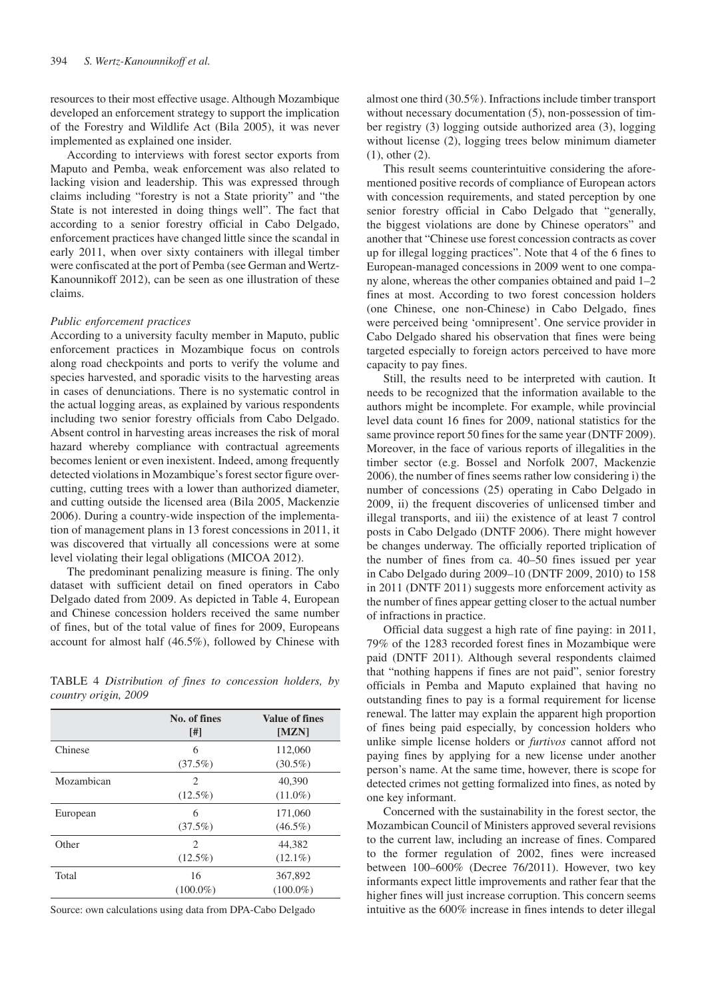resources to their most effective usage. Although Mozambique developed an enforcement strategy to support the implication of the Forestry and Wildlife Act (Bila 2005), it was never implemented as explained one insider.

According to interviews with forest sector exports from Maputo and Pemba, weak enforcement was also related to lacking vision and leadership. This was expressed through claims including "forestry is not a State priority" and "the State is not interested in doing things well". The fact that according to a senior forestry official in Cabo Delgado, enforcement practices have changed little since the scandal in early 2011, when over sixty containers with illegal timber were confiscated at the port of Pemba (see German and Wertz-Kanounnikoff 2012), can be seen as one illustration of these claims.

#### Public enforcement practices

According to a university faculty member in Maputo, public enforcement practices in Mozambique focus on controls along road checkpoints and ports to verify the volume and species harvested, and sporadic visits to the harvesting areas in cases of denunciations. There is no systematic control in the actual logging areas, as explained by various respondents including two senior forestry officials from Cabo Delgado. Absent control in harvesting areas increases the risk of moral hazard whereby compliance with contractual agreements becomes lenient or even inexistent. Indeed, among frequently detected violations in Mozambique's forest sector figure overcutting, cutting trees with a lower than authorized diameter, and cutting outside the licensed area (Bila 2005, Mackenzie 2006). During a country-wide inspection of the implementation of management plans in 13 forest concessions in 2011, it was discovered that virtually all concessions were at some level violating their legal obligations (MICOA 2012).

The predominant penalizing measure is fining. The only dataset with sufficient detail on fined operators in Cabo Delgado dated from 2009. As depicted in Table 4, European and Chinese concession holders received the same number of fines, but of the total value of fines for 2009, Europeans account for almost half (46.5%), followed by Chinese with

TABLE 4 Distribution of fines to concession holders, by country origin, 2009

|            | No. of fines<br>[#] | <b>Value of fines</b><br>[MZN] |
|------------|---------------------|--------------------------------|
| Chinese    | 6                   | 112,060                        |
|            | $(37.5\%)$          | $(30.5\%)$                     |
| Mozambican | 2                   | 40,390                         |
|            | $(12.5\%)$          | $(11.0\%)$                     |
| European   | 6                   | 171,060                        |
|            | $(37.5\%)$          | $(46.5\%)$                     |
| Other      | 2                   | 44,382                         |
|            | $(12.5\%)$          | $(12.1\%)$                     |
| Total      | 16                  | 367,892                        |
|            | $(100.0\%)$         | $(100.0\%)$                    |

Source: own calculations using data from DPA-Cabo Delgado

almost one third  $(30.5\%)$ . Infractions include timber transport without necessary documentation (5), non-possession of timber registry (3) logging outside authorized area (3), logging without license (2), logging trees below minimum diameter  $(1)$ , other  $(2)$ .

This result seems counterintuitive considering the aforementioned positive records of compliance of European actors with concession requirements, and stated perception by one senior forestry official in Cabo Delgado that "generally, the biggest violations are done by Chinese operators" and another that "Chinese use forest concession contracts as cover up for illegal logging practices". Note that 4 of the 6 fines to European-managed concessions in 2009 went to one company alone, whereas the other companies obtained and paid  $1-2$ fines at most. According to two forest concession holders (one Chinese, one non-Chinese) in Cabo Delgado, fines were perceived being 'omnipresent'. One service provider in Cabo Delgado shared his observation that fines were being targeted especially to foreign actors perceived to have more capacity to pay fines.

Still, the results need to be interpreted with caution. It needs to be recognized that the information available to the authors might be incomplete. For example, while provincial level data count 16 fines for 2009, national statistics for the same province report 50 fines for the same year (DNTF 2009). Moreover, in the face of various reports of illegalities in the timber sector (e.g. Bossel and Norfolk 2007, Mackenzie 2006), the number of fines seems rather low considering i) the number of concessions (25) operating in Cabo Delgado in 2009, ii) the frequent discoveries of unlicensed timber and illegal transports, and iii) the existence of at least 7 control posts in Cabo Delgado (DNTF 2006). There might however be changes underway. The officially reported triplication of the number of fines from ca. 40–50 fines issued per year in Cabo Delgado during 2009–10 (DNTF 2009, 2010) to 158 in 2011 (DNTF 2011) suggests more enforcement activity as the number of fines appear getting closer to the actual number of infractions in practice.

Official data suggest a high rate of fine paying: in 2011, 79% of the 1283 recorded forest fines in Mozambique were paid (DNTF 2011). Although several respondents claimed that "nothing happens if fines are not paid", senior forestry officials in Pemba and Maputo explained that having no outstanding fines to pay is a formal requirement for license renewal. The latter may explain the apparent high proportion of fines being paid especially, by concession holders who unlike simple license holders or *furtivos* cannot afford not paying fines by applying for a new license under another person's name. At the same time, however, there is scope for detected crimes not getting formalized into fines, as noted by one key informant.

Concerned with the sustainability in the forest sector, the Mozambican Council of Ministers approved several revisions to the current law, including an increase of fines. Compared to the former regulation of 2002, fines were increased between 100-600% (Decree 76/2011). However, two key informants expect little improvements and rather fear that the higher fines will just increase corruption. This concern seems intuitive as the 600% increase in fines intends to deter illegal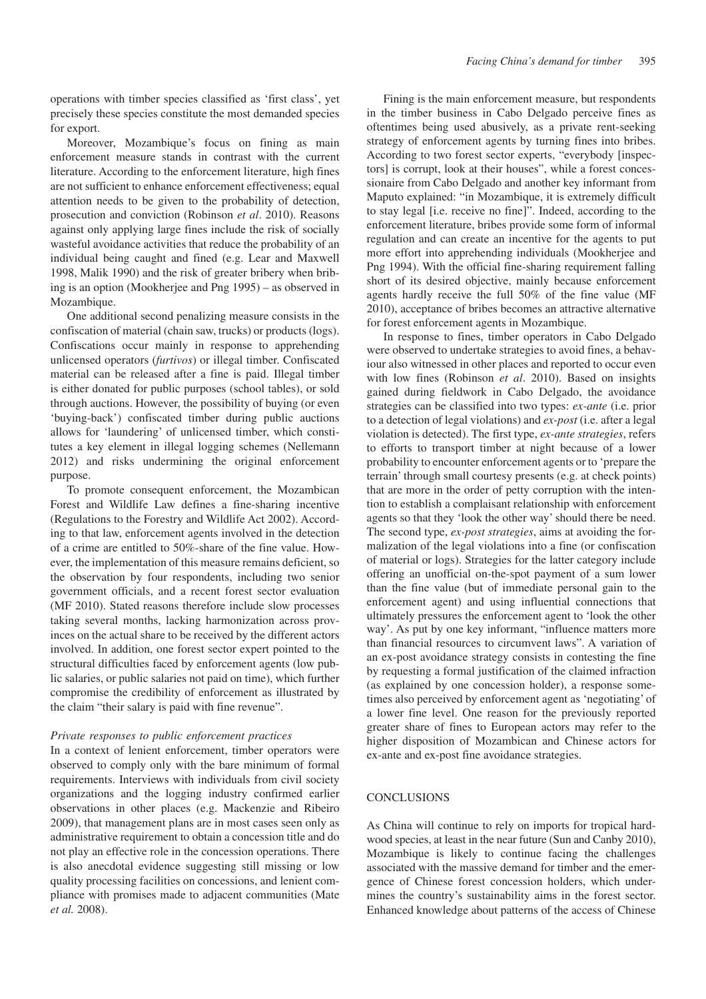operations with timber species classified as 'first class', yet precisely these species constitute the most demanded species for export.

Moreover, Mozambique's focus on fining as main enforcement measure stands in contrast with the current literature. According to the enforcement literature, high fines are not sufficient to enhance enforcement effectiveness; equal attention needs to be given to the probability of detection, prosecution and conviction (Robinson et al. 2010). Reasons against only applying large fines include the risk of socially wasteful avoidance activities that reduce the probability of an individual being caught and fined (e.g. Lear and Maxwell 1998, Malik 1990) and the risk of greater bribery when bribing is an option (Mookherjee and Png 1995) – as observed in Mozambique.

One additional second penalizing measure consists in the confiscation of material (chain saw, trucks) or products (logs). Confiscations occur mainly in response to apprehending unlicensed operators (furtivos) or illegal timber. Confiscated material can be released after a fine is paid. Illegal timber is either donated for public purposes (school tables), or sold through auctions. However, the possibility of buying (or even 'buying-back') confiscated timber during public auctions allows for 'laundering' of unlicensed timber, which constitutes a key element in illegal logging schemes (Nellemann 2012) and risks undermining the original enforcement purpose.

To promote consequent enforcement, the Mozambican Forest and Wildlife Law defines a fine-sharing incentive (Regulations to the Forestry and Wildlife Act 2002). According to that law, enforcement agents involved in the detection of a crime are entitled to 50%-share of the fine value. However, the implementation of this measure remains deficient, so the observation by four respondents, including two senior government officials, and a recent forest sector evaluation (MF 2010). Stated reasons therefore include slow processes taking several months, lacking harmonization across provinces on the actual share to be received by the different actors involved. In addition, one forest sector expert pointed to the structural difficulties faced by enforcement agents (low public salaries, or public salaries not paid on time), which further compromise the credibility of enforcement as illustrated by the claim "their salary is paid with fine revenue".

#### Private responses to public enforcement practices

In a context of lenient enforcement, timber operators were observed to comply only with the bare minimum of formal requirements. Interviews with individuals from civil society organizations and the logging industry confirmed earlier observations in other places (e.g. Mackenzie and Ribeiro 2009), that management plans are in most cases seen only as administrative requirement to obtain a concession title and do not play an effective role in the concession operations. There is also anecdotal evidence suggesting still missing or low quality processing facilities on concessions, and lenient compliance with promises made to adjacent communities (Mate et al. 2008).

Fining is the main enforcement measure, but respondents in the timber business in Cabo Delgado perceive fines as oftentimes being used abusively, as a private rent-seeking strategy of enforcement agents by turning fines into bribes. According to two forest sector experts, "everybody [inspectors] is corrupt, look at their houses", while a forest concessionaire from Cabo Delgado and another key informant from Maputo explained: "in Mozambique, it is extremely difficult to stay legal [*i.e.* receive no fine]". Indeed, according to the enforcement literature, bribes provide some form of informal regulation and can create an incentive for the agents to put more effort into apprehending individuals (Mookherjee and Png 1994). With the official fine-sharing requirement falling short of its desired objective, mainly because enforcement agents hardly receive the full 50% of the fine value (MF 2010), acceptance of bribes becomes an attractive alternative for forest enforcement agents in Mozambique.

In response to fines, timber operators in Cabo Delgado were observed to undertake strategies to avoid fines, a behaviour also witnessed in other places and reported to occur even with low fines (Robinson et al. 2010). Based on insights gained during fieldwork in Cabo Delgado, the avoidance strategies can be classified into two types: ex-ante (i.e. prior to a detection of legal violations) and  $ex\text{-}post$  (i.e. after a legal violation is detected). The first type, ex-ante strategies, refers to efforts to transport timber at night because of a lower probability to encounter enforcement agents or to 'prepare the terrain' through small courtesy presents (e.g. at check points) that are more in the order of petty corruption with the intention to establish a complaisant relationship with enforcement agents so that they 'look the other way' should there be need. The second type, ex-post strategies, aims at avoiding the formalization of the legal violations into a fine (or confiscation of material or logs). Strategies for the latter category include offering an unofficial on-the-spot payment of a sum lower than the fine value (but of immediate personal gain to the enforcement agent) and using influential connections that ultimately pressures the enforcement agent to 'look the other way'. As put by one key informant, "influence matters more than financial resources to circumvent laws". A variation of an ex-post avoidance strategy consists in contesting the fine by requesting a formal justification of the claimed infraction (as explained by one concession holder), a response sometimes also perceived by enforcement agent as 'negotiating' of a lower fine level. One reason for the previously reported greater share of fines to European actors may refer to the higher disposition of Mozambican and Chinese actors for ex-ante and ex-post fine avoidance strategies.

#### **CONCLUSIONS**

As China will continue to rely on imports for tropical hardwood species, at least in the near future (Sun and Canby 2010), Mozambique is likely to continue facing the challenges associated with the massive demand for timber and the emergence of Chinese forest concession holders, which undermines the country's sustainability aims in the forest sector. Enhanced knowledge about patterns of the access of Chinese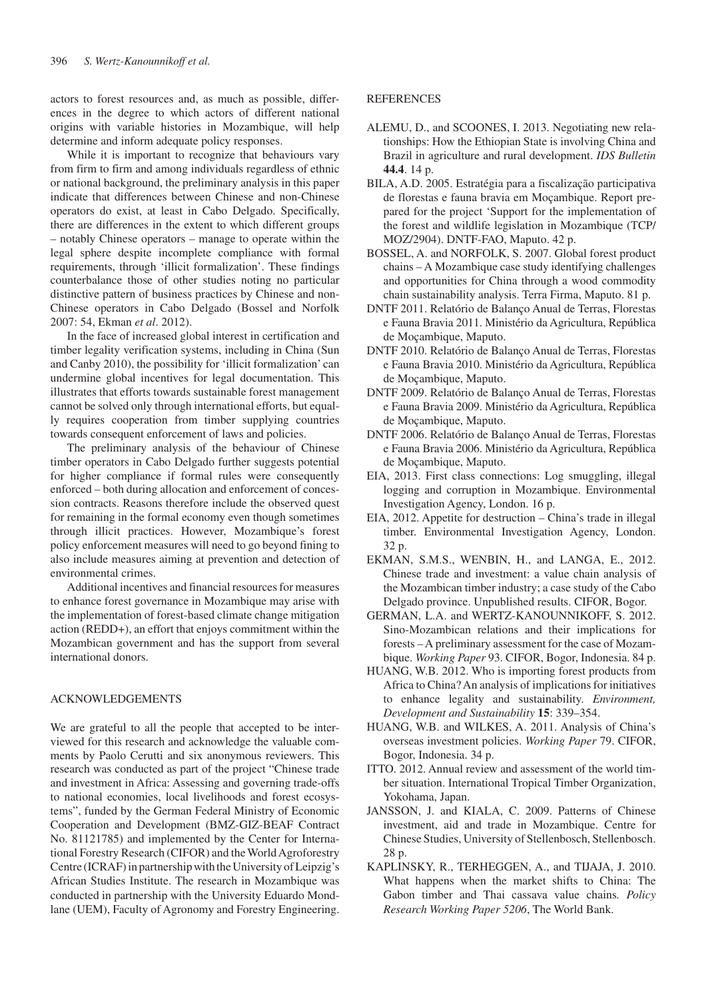actors to forest resources and, as much as possible, differences in the degree to which actors of different national origins with variable histories in Mozambique, will help determine and inform adequate policy responses.

While it is important to recognize that behaviours vary from firm to firm and among individuals regardless of ethnic or national background, the preliminary analysis in this paper indicate that differences between Chinese and non-Chinese operators do exist, at least in Cabo Delgado. Specifically, there are differences in the extent to which different groups - notably Chinese operators - manage to operate within the legal sphere despite incomplete compliance with formal requirements, through 'illicit formalization'. These findings counterbalance those of other studies noting no particular distinctive pattern of business practices by Chinese and non-Chinese operators in Cabo Delgado (Bossel and Norfolk 2007: 54, Ekman et al. 2012).

In the face of increased global interest in certification and timber legality verification systems, including in China (Sun and Canby 2010), the possibility for 'illicit formalization' can undermine global incentives for legal documentation. This illustrates that efforts towards sustainable forest management cannot be solved only through international efforts, but equally requires cooperation from timber supplying countries towards consequent enforcement of laws and policies.

The preliminary analysis of the behaviour of Chinese timber operators in Cabo Delgado further suggests potential for higher compliance if formal rules were consequently enforced – both during allocation and enforcement of concession contracts. Reasons therefore include the observed quest for remaining in the formal economy even though sometimes through illicit practices. However, Mozambique's forest policy enforcement measures will need to go beyond fining to also include measures aiming at prevention and detection of environmental crimes.

Additional incentives and financial resources for measures to enhance forest governance in Mozambique may arise with the implementation of forest-based climate change mitigation action (REDD+), an effort that enjoys commitment within the Mozambican government and has the support from several international donors

# **ACKNOWLEDGEMENTS**

We are grateful to all the people that accepted to be interviewed for this research and acknowledge the valuable comments by Paolo Cerutti and six anonymous reviewers. This research was conducted as part of the project "Chinese trade and investment in Africa: Assessing and governing trade-offs to national economies, local livelihoods and forest ecosystems", funded by the German Federal Ministry of Economic Cooperation and Development (BMZ-GIZ-BEAF Contract No. 81121785) and implemented by the Center for International Forestry Research (CIFOR) and the World Agroforestry Centre (ICRAF) in partnership with the University of Leipzig's African Studies Institute. The research in Mozambique was conducted in partnership with the University Eduardo Mondlane (UEM), Faculty of Agronomy and Forestry Engineering.

# **REFERENCES**

- ALEMU, D., and SCOONES, I. 2013. Negotiating new relationships: How the Ethiopian State is involving China and Brazil in agriculture and rural development. IDS Bulletin 44.4.14 p.
- BILA, A.D. 2005. Estratégia para a fiscalização participativa de florestas e fauna bravia em Moçambique. Report prepared for the project 'Support for the implementation of the forest and wildlife legislation in Mozambique (TCP/ MOZ/2904). DNTF-FAO, Maputo. 42 p.
- BOSSEL, A. and NORFOLK, S. 2007. Global forest product chains - A Mozambique case study identifying challenges and opportunities for China through a wood commodity chain sustainability analysis. Terra Firma, Maputo. 81 p.
- DNTF 2011. Relatório de Balanço Anual de Terras, Florestas e Fauna Bravia 2011. Ministério da Agricultura, República de Moçambique, Maputo.
- DNTF 2010. Relatório de Balanço Anual de Terras, Florestas e Fauna Bravia 2010. Ministério da Agricultura, República de Moçambique, Maputo.
- DNTF 2009. Relatório de Balanço Anual de Terras, Florestas e Fauna Bravia 2009. Ministério da Agricultura, República de Moçambique, Maputo.
- DNTF 2006. Relatório de Balanço Anual de Terras, Florestas e Fauna Bravia 2006. Ministério da Agricultura, República de Moçambique, Maputo.
- EIA, 2013. First class connections: Log smuggling, illegal logging and corruption in Mozambique. Environmental Investigation Agency, London. 16 p.
- EIA, 2012. Appetite for destruction China's trade in illegal timber. Environmental Investigation Agency, London. 32 p.
- EKMAN, S.M.S., WENBIN, H., and LANGA, E., 2012. Chinese trade and investment: a value chain analysis of the Mozambican timber industry; a case study of the Cabo Delgado province. Unpublished results. CIFOR, Bogor.
- GERMAN, L.A. and WERTZ-KANOUNNIKOFF, S. 2012. Sino-Mozambican relations and their implications for forests – A preliminary assessment for the case of Mozambique. Working Paper 93. CIFOR, Bogor, Indonesia. 84 p.
- HUANG, W.B. 2012. Who is importing forest products from Africa to China? An analysis of implications for initiatives to enhance legality and sustainability. Environment, Development and Sustainability 15: 339-354.
- HUANG, W.B. and WILKES, A. 2011. Analysis of China's overseas investment policies. Working Paper 79. CIFOR, Bogor, Indonesia. 34 p.
- ITTO. 2012. Annual review and assessment of the world timber situation. International Tropical Timber Organization, Yokohama, Japan.
- JANSSON, J. and KIALA, C. 2009. Patterns of Chinese investment, aid and trade in Mozambique. Centre for Chinese Studies, University of Stellenbosch, Stellenbosch. 28 p.
- KAPLINSKY, R., TERHEGGEN, A., and TIJAJA, J. 2010. What happens when the market shifts to China: The Gabon timber and Thai cassava value chains. Policy Research Working Paper 5206, The World Bank.